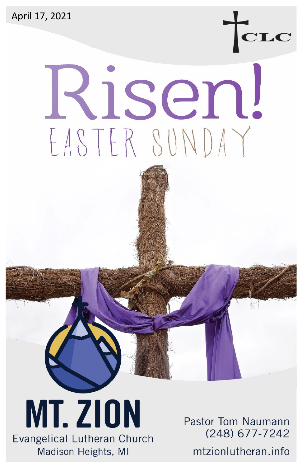April 17, 2021

# dsen! EASTER SUNDAY

**MT. ZION** Evangelical Lutheran Church Madison Heights, MI

Pastor Tom Naumann (248) 677-7242

mtzionlutheran.info

TCLC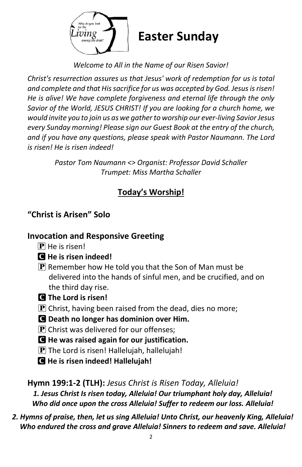

*Welcome to All in the Name of our Risen Savior!*

*Christ's resurrection assures us that Jesus' work of redemption for us is total and complete and that His sacrifice for us was accepted by God. Jesus is risen! He is alive! We have complete forgiveness and eternal life through the only Savior of the World, JESUS CHRIST! If you are looking for a church home, we would invite you to join us as we gather to worship our ever-living Savior Jesus every Sunday morning! Please sign our Guest Book at the entry of the church, and if you have any questions, please speak with Pastor Naumann. The Lord is risen! He is risen indeed!*

> *Pastor Tom Naumann <> Organist: Professor David Schaller Trumpet: Miss Martha Schaller*

# **Today's Worship!**

# **"Christ is Arisen" Solo**

## **Invocation and Responsive Greeting**

- $\bf{P}$  He is risen!
- C **He is risen indeed!**
- $\left[ \mathbf{P} \right]$  Remember how He told you that the Son of Man must be delivered into the hands of sinful men, and be crucified, and on the third day rise.
- C **The Lord is risen!**
- P Christ, having been raised from the dead, dies no more;
- C **Death no longer has dominion over Him.**
- $\bf{P}$  Christ was delivered for our offenses;
- C **He was raised again for our justification.**
- $\bf{P}$  The Lord is risen! Hallelujah, hallelujah!
- C **He is risen indeed! Hallelujah!**

**Hymn 199:1-2 (TLH):** *Jesus Christ is Risen Today, Alleluia! 1. Jesus Christ Is risen today, Alleluia! Our triumphant holy day, Alleluia! Who did once upon the cross Alleluia! Suffer to redeem our loss. Alleluia!*

*2. Hymns of praise, then, let us sing Alleluia! Unto Christ, our heavenly King, Alleluia! Who endured the cross and grave Alleluia! Sinners to redeem and save. Alleluia!*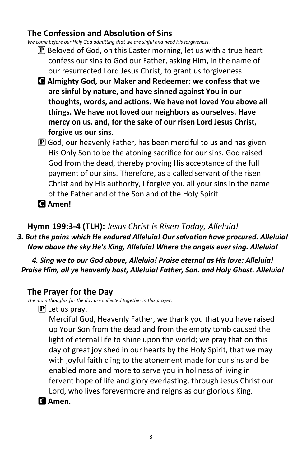## **The Confession and Absolution of Sins**

*We come before our Holy God admitting that we are sinful and need His forgiveness.*

- $\bf{P}$  Beloved of God, on this Easter morning, let us with a true heart confess our sins to God our Father, asking Him, in the name of our resurrected Lord Jesus Christ, to grant us forgiveness.
- C **Almighty God, our Maker and Redeemer: we confess that we are sinful by nature, and have sinned against You in our thoughts, words, and actions. We have not loved You above all things. We have not loved our neighbors as ourselves. Have mercy on us, and, for the sake of our risen Lord Jesus Christ, forgive us our sins.**
- $\mathbf P$  God, our heavenly Father, has been merciful to us and has given His Only Son to be the atoning sacrifice for our sins. God raised God from the dead, thereby proving His acceptance of the full payment of our sins. Therefore, as a called servant of the risen Christ and by His authority, I forgive you all your sins in the name of the Father and of the Son and of the Holy Spirit.
- C **Amen!**

**Hymn 199:3-4 (TLH):** *Jesus Christ is Risen Today, Alleluia!*

*3. But the pains which He endured Alleluia! Our salvation have procured. Alleluia! Now above the sky He's King, Alleluia! Where the angels ever sing. Alleluia!*

*4. Sing we to our God above, Alleluia! Praise eternal as His love: Alleluia! Praise Him, all ye heavenly host, Alleluia! Father, Son. and Holy Ghost. Alleluia!*

#### **The Prayer for the Day**

*The main thoughts for the day are collected together in this prayer.*

 $\mathbf{P}$  Let us pray.

Merciful God, Heavenly Father, we thank you that you have raised up Your Son from the dead and from the empty tomb caused the light of eternal life to shine upon the world; we pray that on this day of great joy shed in our hearts by the Holy Spirit, that we may with joyful faith cling to the atonement made for our sins and be enabled more and more to serve you in holiness of living in fervent hope of life and glory everlasting, through Jesus Christ our Lord, who lives forevermore and reigns as our glorious King.

C **Amen.**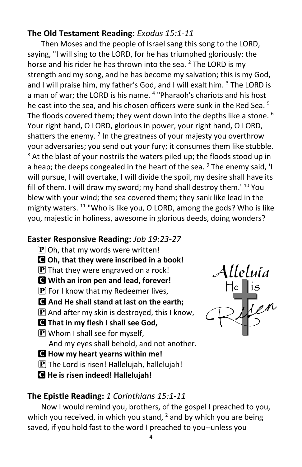## **The Old Testament Reading:** *Exodus 15:1-11*

Then Moses and the people of Israel sang this song to the LORD, saying, "I will sing to the LORD, for he has triumphed gloriously; the horse and his rider he has thrown into the sea.  $2$  The LORD is my strength and my song, and he has become my salvation; this is my God, and I will praise him, my father's God, and I will exalt him. <sup>3</sup> The LORD is a man of war; the LORD is his name. <sup>4</sup> "Pharaoh's chariots and his host he cast into the sea, and his chosen officers were sunk in the Red Sea. <sup>5</sup> The floods covered them; they went down into the depths like a stone.  $6$ Your right hand, O LORD, glorious in power, your right hand, O LORD, shatters the enemy. <sup>7</sup> In the greatness of your majesty you overthrow your adversaries; you send out your fury; it consumes them like stubble.  $8$  At the blast of your nostrils the waters piled up; the floods stood up in a heap; the deeps congealed in the heart of the sea.  $9$  The enemy said, 'I will pursue, I will overtake, I will divide the spoil, my desire shall have its fill of them. I will draw my sword; my hand shall destroy them.<sup> $10$ </sup> You blew with your wind; the sea covered them; they sank like lead in the mighty waters.  $11$  "Who is like you, O LORD, among the gods? Who is like you, majestic in holiness, awesome in glorious deeds, doing wonders?

## **Easter Responsive Reading:** *Job 19:23-27*

- $\mathbf{P}$  Oh, that my words were written!
- C **Oh, that they were inscribed in a book!**
- $[P]$  That they were engraved on a rock!
- C **With an iron pen and lead, forever!**
- $\bf{P}$  For I know that my Redeemer lives,
- C **And He shall stand at last on the earth;**
- $\mathbf{P}$  And after my skin is destroyed, this I know,
- C **That in my flesh I shall see God,**
- $\left[\mathbf{P}\right]$  Whom I shall see for myself, And my eyes shall behold, and not another.
- C **How my heart yearns within me!**
- $\mathbf P$  The Lord is risen! Hallelujah, hallelujah!
- C **He is risen indeed! Hallelujah!**

## **The Epistle Reading:** *1 Corinthians 15:1-11*

Now I would remind you, brothers, of the gospel I preached to you, which you received, in which you stand,  $<sup>2</sup>$  and by which you are being</sup> saved, if you hold fast to the word I preached to you--unless you



Alleluía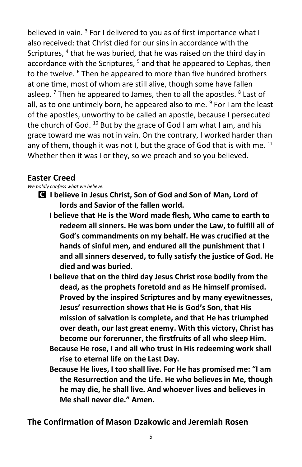believed in vain.<sup>3</sup> For I delivered to you as of first importance what I also received: that Christ died for our sins in accordance with the Scriptures, <sup>4</sup> that he was buried, that he was raised on the third day in accordance with the Scriptures, <sup>5</sup> and that he appeared to Cephas, then to the twelve. <sup>6</sup> Then he appeared to more than five hundred brothers at one time, most of whom are still alive, though some have fallen asleep.<sup>7</sup> Then he appeared to James, then to all the apostles. <sup>8</sup> Last of all, as to one untimely born, he appeared also to me. <sup>9</sup> For I am the least of the apostles, unworthy to be called an apostle, because I persecuted the church of God.  $^{10}$  But by the grace of God I am what I am, and his grace toward me was not in vain. On the contrary, I worked harder than any of them, though it was not I, but the grace of God that is with me.  $^{11}$ Whether then it was I or they, so we preach and so you believed.

## **Easter Creed**

*We boldly confess what we believe.*

- C **I believe in Jesus Christ, Son of God and Son of Man, Lord of lords and Savior of the fallen world.** 
	- **I believe that He is the Word made flesh, Who came to earth to redeem all sinners. He was born under the Law, to fulfill all of God's commandments on my behalf. He was crucified at the hands of sinful men, and endured all the punishment that I and all sinners deserved, to fully satisfy the justice of God. He died and was buried.**
	- **I believe that on the third day Jesus Christ rose bodily from the dead, as the prophets foretold and as He himself promised. Proved by the inspired Scriptures and by many eyewitnesses, Jesus' resurrection shows that He is God's Son, that His mission of salvation is complete, and that He has triumphed over death, our last great enemy. With this victory, Christ has become our forerunner, the firstfruits of all who sleep Him.**
	- **Because He rose, I and all who trust in His redeeming work shall rise to eternal life on the Last Day.**
	- **Because He lives, I too shall live. For He has promised me: "I am the Resurrection and the Life. He who believes in Me, though he may die, he shall live. And whoever lives and believes in Me shall never die." Amen.**

**The Confirmation of Mason Dzakowic and Jeremiah Rosen**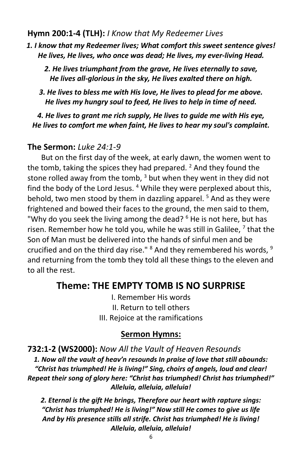#### **Hymn 200:1-4 (TLH):** *I Know that My Redeemer Lives*

*1. I know that my Redeemer lives; What comfort this sweet sentence gives! He lives, He lives, who once was dead; He lives, my ever-living Head.*

*2. He lives triumphant from the grave, He lives eternally to save, He lives all-glorious in the sky, He lives exalted there on high.*

*3. He lives to bless me with His love, He lives to plead for me above. He lives my hungry soul to feed, He lives to help in time of need.*

*4. He lives to grant me rich supply, He lives to guide me with His eye, He lives to comfort me when faint, He lives to hear my soul's complaint.*

#### **The Sermon:** *Luke 24:1-9*

But on the first day of the week, at early dawn, the women went to the tomb, taking the spices they had prepared.  $<sup>2</sup>$  And they found the</sup> stone rolled away from the tomb,  $3$  but when they went in they did not find the body of the Lord Jesus.<sup>4</sup> While they were perplexed about this, behold, two men stood by them in dazzling apparel.<sup>5</sup> And as they were frightened and bowed their faces to the ground, the men said to them, "Why do you seek the living among the dead?  $6$  He is not here, but has risen. Remember how he told you, while he was still in Galilee,  $^7$  that the Son of Man must be delivered into the hands of sinful men and be crucified and on the third day rise." <sup>8</sup> And they remembered his words, <sup>9</sup> and returning from the tomb they told all these things to the eleven and to all the rest.

## **Theme: THE EMPTY TOMB IS NO SURPRISE**

I. Remember His words II. Return to tell others III. Rejoice at the ramifications

#### **Sermon Hymns:**

**732:1-2 (WS2000):** *Now All the Vault of Heaven Resounds 1. Now all the vault of heav'n resounds In praise of love that still abounds: "Christ has triumphed! He is living!" Sing, choirs of angels, loud and clear! Repeat their song of glory here: "Christ has triumphed! Christ has triumphed!" Alleluia, alleluia, alleluia!*

*2. Eternal is the gift He brings, Therefore our heart with rapture sings: "Christ has triumphed! He is living!" Now still He comes to give us life And by His presence stills all strife. Christ has triumphed! He is living! Alleluia, alleluia, alleluia!*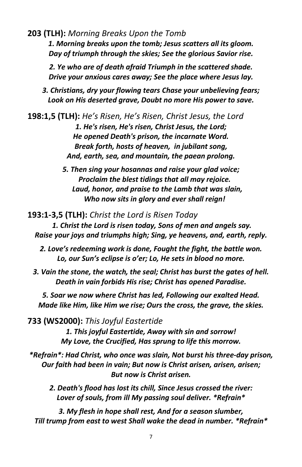**203 (TLH):** *Morning Breaks Upon the Tomb*

*1. Morning breaks upon the tomb; Jesus scatters all its gloom. Day of triumph through the skies; See the glorious Savior rise.*

*2. Ye who are of death afraid Triumph in the scattered shade. Drive your anxious cares away; See the place where Jesus lay.*

*3. Christians, dry your flowing tears Chase your unbelieving fears; Look on His deserted grave, Doubt no more His power to save.*

**198:1,5 (TLH):** *He's Risen, He's Risen, Christ Jesus, the Lord 1. He's risen, He's risen, Christ Jesus, the Lord; He opened Death's prison, the incarnate Word. Break forth, hosts of heaven, in jubilant song, And, earth, sea, and mountain, the paean prolong.*

> *5. Then sing your hosannas and raise your glad voice; Proclaim the blest tidings that all may rejoice. Laud, honor, and praise to the Lamb that was slain, Who now sits in glory and ever shall reign!*

**193:1-3,5 (TLH):** *Christ the Lord is Risen Today 1. Christ the Lord is risen today, Sons of men and angels say. Raise your joys and triumphs high; Sing, ye heavens, and, earth, reply.*

*2. Love's redeeming work is done, Fought the fight, the battle won. Lo, our Sun's eclipse is o'er; Lo, He sets in blood no more.*

*3. Vain the stone, the watch, the seal; Christ has burst the gates of hell. Death in vain forbids His rise; Christ has opened Paradise.*

*5. Soar we now where Christ has led, Following our exalted Head. Made like Him, like Him we rise; Ours the cross, the grave, the skies.*

**733 (WS2000):** *This Joyful Eastertide*

*1. This joyful Eastertide, Away with sin and sorrow! My Love, the Crucified, Has sprung to life this morrow.*

*\*Refrain\*: Had Christ, who once was slain, Not burst his three-day prison, Our faith had been in vain; But now is Christ arisen, arisen, arisen; But now is Christ arisen.*

*2. Death's flood has lost its chill, Since Jesus crossed the river: Lover of souls, from ill My passing soul deliver. \*Refrain\**

*3. My flesh in hope shall rest, And for a season slumber, Till trump from east to west Shall wake the dead in number. \*Refrain\**